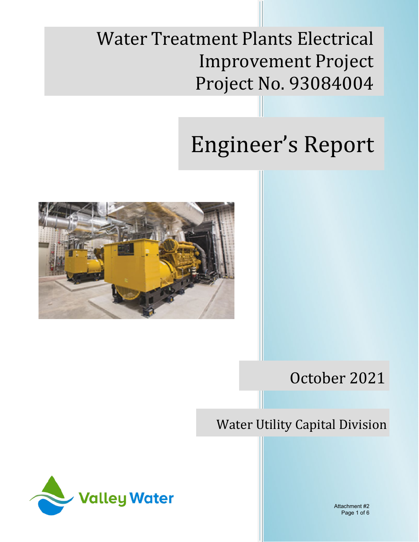## Water Treatment Plants Electrical Improvement Project Project No. 93084004

# Engineer's Report



## October 2021

## Water Utility Capital Division



Attachment #2 Page 1 of 6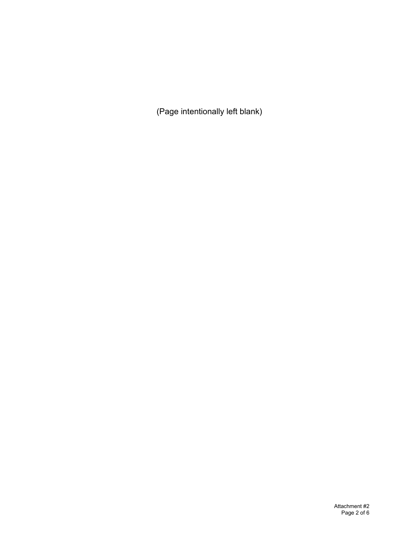(Page intentionally left blank)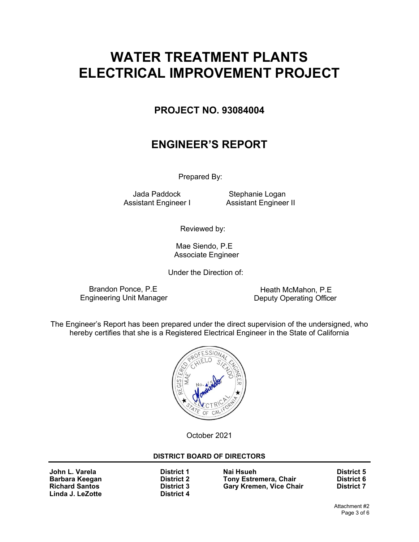## **WATER TREATMENT PLANTS ELECTRICAL IMPROVEMENT PROJECT**

#### **PROJECT NO. 93084004**

### **ENGINEER'S REPORT**

Prepared By:

Jada Paddock Stephanie Logan<br>Assistant Engineer I Assistant Engineer

**Assistant Engineer II** 

Reviewed by:

 Mae Siendo, P.E Associate Engineer

Under the Direction of:

Brandon Ponce, P.E Engineering Unit Manager

 Heath McMahon, P.E Deputy Operating Officer

The Engineer's Report has been prepared under the direct supervision of the undersigned, who hereby certifies that she is a Registered Electrical Engineer in the State of California



October 2021

#### **DISTRICT BOARD OF DIRECTORS**

**Linda J. LeZotte** 

**John L. Varela District 1 Nai Hsueh District 5 Barbara Keegan District 2 Tony Estremera, Chair District 6 Righard Santa Cary Kremen, Vice Chair District 4**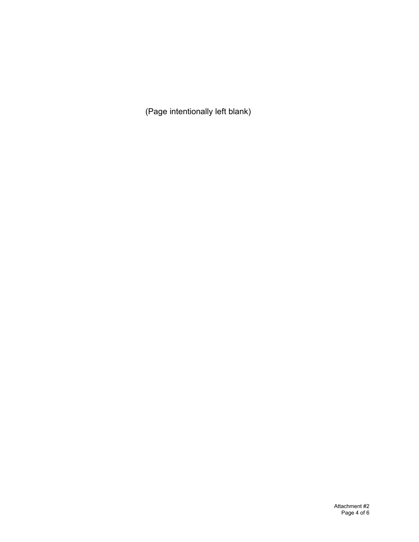(Page intentionally left blank)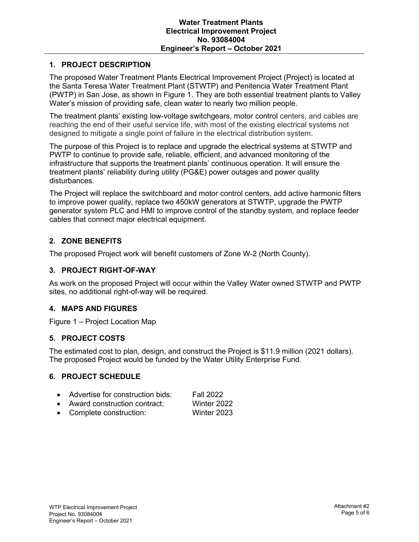#### **1. PROJECT DESCRIPTION**

The proposed Water Treatment Plants Electrical Improvement Project (Project) is located at the Santa Teresa Water Treatment Plant (STWTP) and Penitencia Water Treatment Plant (PWTP) in San Jose, as shown in Figure 1. They are both essential treatment plants to Valley Water's mission of providing safe, clean water to nearly two million people.

The treatment plants' existing low-voltage switchgears, motor control centers, and cables are reaching the end of their useful service life, with most of the existing electrical systems not designed to mitigate a single point of failure in the electrical distribution system.

The purpose of this Project is to replace and upgrade the electrical systems at STWTP and PWTP to continue to provide safe, reliable, efficient, and advanced monitoring of the infrastructure that supports the treatment plants' continuous operation. It will ensure the treatment plants' reliability during utility (PG&E) power outages and power quality disturbances.

The Project will replace the switchboard and motor control centers, add active harmonic filters to improve power quality, replace two 450kW generators at STWTP, upgrade the PWTP generator system PLC and HMI to improve control of the standby system, and replace feeder cables that connect major electrical equipment.

#### **2. ZONE BENEFITS**

The proposed Project work will benefit customers of Zone W-2 (North County).

#### **3. PROJECT RIGHT-OF-WAY**

As work on the proposed Project will occur within the Valley Water owned STWTP and PWTP sites, no additional right-of-way will be required.

#### **4. MAPS AND FIGURES**

Figure 1 – Project Location Map

#### **5. PROJECT COSTS**

The estimated cost to plan, design, and construct the Project is \$11.9 million (2021 dollars). The proposed Project would be funded by the Water Utility Enterprise Fund.

#### **6. PROJECT SCHEDULE**

| • Advertise for construction bids: | <b>Fall 2022</b> |
|------------------------------------|------------------|
| • Award construction contract:     | Winter 2022      |
| • Complete construction:           | Winter 2023      |